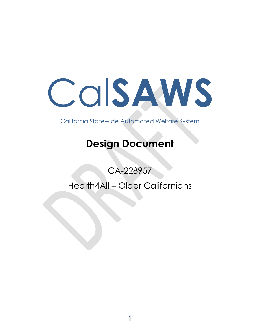# COISAWS

California Statewide Automated Welfare System

# **Design Document**

CA-228957

Health4All - Older Californians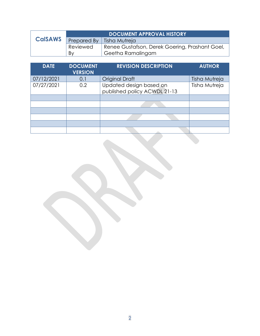|                | <b>DOCUMENT APPROVAL HISTORY</b> |                                                |
|----------------|----------------------------------|------------------------------------------------|
| <b>CalSAWS</b> |                                  | Prepared By   Tisha Mutreja                    |
|                | Reviewed                         | Renee Gustafson, Derek Goering, Prashant Goel, |
|                | By                               | Geetha Ramalingam                              |

| <b>DATE</b> | <b>DOCUMENT</b><br><b>VERSION</b> | <b>REVISION DESCRIPTION</b>                             | <b>AUTHOR</b> |
|-------------|-----------------------------------|---------------------------------------------------------|---------------|
| 07/12/2021  | 0.1                               | <b>Original Draft</b>                                   | Tisha Mutreja |
| 07/27/2021  | 0.2                               | Updated design based on<br>published policy ACWDL 21-13 | Tisha Mutreja |
|             |                                   |                                                         |               |
|             |                                   |                                                         |               |
|             |                                   |                                                         |               |
|             |                                   |                                                         |               |
|             |                                   |                                                         |               |
|             |                                   |                                                         |               |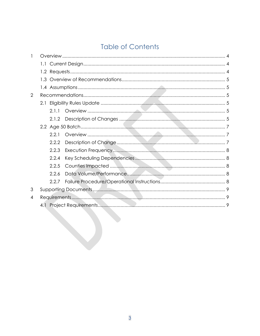# **Table of Contents**

| 2 |       |  |
|---|-------|--|
|   |       |  |
|   | 2.1.1 |  |
|   |       |  |
|   |       |  |
|   | 2.2.1 |  |
|   | 2.2.2 |  |
|   | 2.2.3 |  |
|   | 2.2.4 |  |
|   | 2.2.5 |  |
|   | 2.2.6 |  |
|   | 2.2.7 |  |
| 3 |       |  |
| 4 |       |  |
|   |       |  |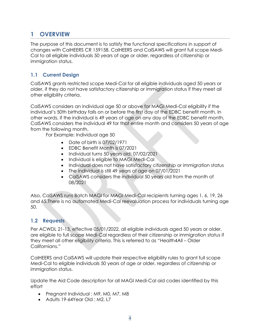### <span id="page-3-0"></span>**1 OVERVIEW**

The purpose of this document is to satisfy the functional specifications in support of changes with CalHEERS CR 159158. CalHEERS and CalSAWS will grant full scope Medi-Cal to all eligible individuals 50 years of age or older, regardless of citizenship or immigration status.

#### <span id="page-3-1"></span>**1.1 Current Design**

CalSAWS grants restricted scope Medi-Cal for all eligible individuals aged 50 years or older, if they do not have satisfactory citizenship or immigration status if they meet all other eligibility criteria.

CalSAWS considers an individual age 50 or above for MAGI Medi-Cal eligibility if the individual's 50th birthday falls on or before the first day of the EDBC benefit month. In other words, if the individual is 49 years of age on any day of the EDBC benefit month, CalSAWS considers the individual 49 for that entire month and considers 50 years of age from the following month.

For Example: Individual age 50

- Date of birth is 07/02/1971
- EDBC Benefit Month is 07/2021
- Individual turns 50 years old: 07/02/2021
- Individual is eligible to MAGI Medi-Cal
- Individual does not have satisfactory citizenship or immigration status
- The individual is still 49 years of age on 07/01/2021
- CalSAWS considers the individual 50 years old from the month of 08/2021

Also, CalSAWS runs Batch MAGI for MAGI Medi-Cal recipients turning ages 1, 6, 19, 26 and 65.There is no automated Medi-Cal reevaluation process for individuals turning age 50.

#### <span id="page-3-2"></span>**1.2 Requests**

Per ACWDL 21-13, effective 05/01/2022, all eligible individuals aged 50 years or older, are eligible to full scope Medi-Cal regardless of their citizenship or immigration status if they meet all other eligibility criteria. This is referred to as "Health4All – Older Californians."

CalHEERS and CalSAWS will update their respective eligibility rules to grant full scope Medi-Cal to eligible individuals 50 years of age or older, regardless of citizenship or immigration status.

Update the Aid Code description for all MAGI Medi-Cal aid codes identified by this effort

- Pregnant Individual : M9, M0, M7, M8
- Adults 19-64Year Old : M2, L7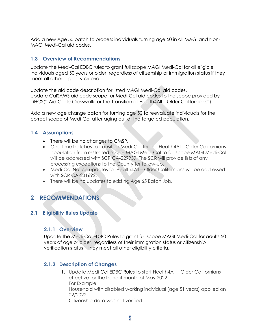Add a new Age 50 batch to process individuals turning age 50 in all MAGI and Non-MAGI Medi-Cal aid codes.

#### <span id="page-4-0"></span>**1.3 Overview of Recommendations**

Update the Medi-Cal EDBC rules to grant full scope MAGI Medi-Cal for all eligible individuals aged 50 years or older, regardless of citizenship or immigration status if they meet all other eligibility criteria.

Update the aid code description for listed MAGI Medi-Cal aid codes. Update CalSAWS aid code scope for Medi-Cal aid codes to the scope provided by DHCS(" Aid Code Crosswalk for the Transition of Health4All – Older Californians").

Add a new age change batch for turning age 50 to reevaluate individuals for the correct scope of Medi-Cal after aging out of the targeted population.

#### <span id="page-4-1"></span>**1.4 Assumptions**

- There will be no changes to CMSP.
- One-time batches to transition Medi-Cal for the Health4All Older Californians population from restricted scope MAGI Medi-Cal to full scope MAGI Medi-Cal will be addressed with SCR CA-229939. The SCR will provide lists of any processing exceptions to the County for follow-up.
- Medi-Cal Notice updates for Health4All Older Californians will be addressed with SCR [CA-231692.](https://change.calsaws.net/browse/CA-231692)
- There will be no updates to existing Age 65 Batch Job.

## <span id="page-4-2"></span>**2 RECOMMENDATIONS**

#### <span id="page-4-4"></span><span id="page-4-3"></span>**2.1 Eligibility Rules Update**

#### **2.1.1 Overview**

Update the Medi-Cal EDBC Rules to grant full scope MAGI Medi-Cal for adults 50 years of age or older, regardless of their immigration status or citizenship verification status if they meet all other eligibility criteria.

#### <span id="page-4-5"></span>**2.1.2 Description of Changes**

1. Update Medi-Cal EDBC Rules to start Health4All – Older Californians effective for the benefit month of May 2022. For Example: Household with disabled working individual (age 51 years) applied on 02/2022. Citizenship data was not verified.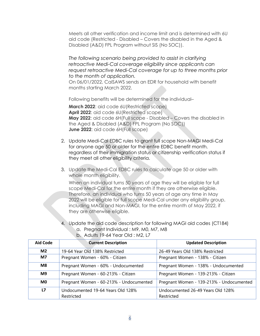Meets all other verification and income limit and is determined with 6U aid code (Restricted - Disabled – Covers the disabled in the Aged & Disabled (A&D) FPL Program without SIS (No SOC)).

*The following scenario being provided to assist in clarifying retroactive Medi-Cal coverage eligibility since applicants can request retroactive Medi-Cal coverage for up to three months prior to the month of application.*

On 06/01/2022, CalSAWS sends an EDR for household with benefit months starting March 2022.

Following benefits will be determined for the individual–

**March 2022:** aid code 6U(Restricted scope) **April 2022:** aid code 6U(Restricted scope) **May 2022**: aid code 6H(Full scope - Disabled – Covers the disabled in the Aged & Disabled (A&D) FPL Program (No SOC)) **June 2022**: aid code 6H(Full scope)

- 2. Update Medi-Cal EDBC rules to grant full scope Non-MAGI Medi-Cal for anyone age 50 or older for the entire EDBC benefit month, regardless of their immigration status or citizenship verification status if they meet all other eligibility criteria.
- 3. Update the Medi-Cal EDBC rules to calculate age 50 or older with whole month eligibility.

When an individual turns 50 years of age they will be eligible for full scope Medi-Cal for the entire month if they are otherwise eligible. Therefore, an individual who turns 50 years of age any time in May 2022 will be eligible for full scope Medi-Cal under any eligibility group, including MAGI and Non-MAGI, for the entire month of May 2022, if they are otherwise eligible.

4. Update the aid code description for following MAGI aid codes (CT184) a. Pregnant Individual : M9, M0, M7, M8 b. Adults 19-64 Year Old : M2, L7

| <b>Aid Code</b> | <b>Current Description</b>              | <b>Updated Description</b>               |
|-----------------|-----------------------------------------|------------------------------------------|
| M <sub>2</sub>  | 19-64 Year Old 138% Restricted          | 26-49 Years Old 138% Restricted          |
| <b>M7</b>       | Pregnant Women - 60% - Citizen          | Pregnant Women - 138% - Citizen          |
| M8              | Pregnant Women - 60% - Undocumented     | Pregnant Women - 138% - Undocumented     |
| M <sub>9</sub>  | Pregnant Women - 60-213% - Citizen      | Pregnant Women - 139-213% - Citizen      |
| M <sub>0</sub>  | Pregnant Women - 60-213% - Undocumented | Pregnant Women - 139-213% - Undocumented |
| L7              | Undocumented 19-64 Years Old 128%       | Undocumented 26-49 Years Old 128%        |
|                 | Restricted                              | Restricted                               |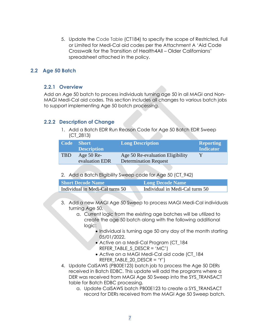5. Update the Code Table (CT184) to specify the scope of Restricted, Full or Limited for Medi-Cal aid codes per the Attachment A 'Aid Code Crosswalk for the Transition of Health4All – Older Californians' spreadsheet attached in the policy.

#### <span id="page-6-1"></span><span id="page-6-0"></span>**2.2 Age 50 Batch**

#### **2.2.1 Overview**

Add an Age 50 batch to process individuals turning age 50 in all MAGI and Non-MAGI Medi-Cal aid codes. This section includes all changes to various batch jobs to support implementing Age 50 batch processing.

#### <span id="page-6-2"></span>**2.2.2 Description of Change**

1. Add a Batch EDR Run Reason Code for Age 50 Batch EDR Sweep (CT\_2813)

|            | Code Short<br><b>Description</b> | <b>Long Description</b>                                          | <b>Reporting</b><br><b>Indicator</b> |
|------------|----------------------------------|------------------------------------------------------------------|--------------------------------------|
| <b>TBD</b> | Age $50$ Re-<br>evaluation EDR   | Age 50 Re-evaluation Eligibility<br><b>Determination Request</b> |                                      |

2. Add a Batch Eligibility Sweep code for Age 50 (CT\_942)

| <b>Short Decode Name</b>        | <b>Long Decode Name</b>         |
|---------------------------------|---------------------------------|
| Individual in Medi-Cal turns 50 | Individual in Medi-Cal turns 50 |

- 3. Add a new MAGI Age 50 Sweep to process MAGI Medi-Cal individuals turning Age 50.
	- a. Current logic from the existing age batches will be utilized to create the age 50 batch along with the following additional logic:
		- Individual is turning age 50 any day of the month starting 05/01/2022.
		- Active on a Medi-Cal Program (CT 184 REFER TABLE 5 DESCR = 'MC')
		- Active on a MAGI Medi-Cal aid code (CT\_184 REFER TABLE 20 DESCR = 'Y')
- 4. Update CalSAWS (PB00E123) batch job to process the Age 50 DERs received in Batch EDBC. This update will add the programs where a DER was received from MAGI Age 50 Sweep into the SYS\_TRANSACT table for Batch EDBC processing.
	- a. Update CalSAWS batch PB00E123 to create a SYS\_TRANSACT record for DERs received from the MAGI Age 50 Sweep batch.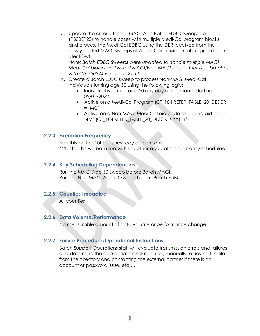5. Update the criteria for the MAGI Age Batch EDBC sweep job (PB00E123) to handle cases with multiple Medi-Cal program blocks and process the Medi-Cal EDBC using the DER received from the newly added MAGI Sweeps of Age 50 for all Medi-Cal program blocks identified.

*Note: Batch EDBC Sweeps were updated to handle multiple MAGI Medi-Cal blocks and Mixed MAGI/Non-MAGI for all other Age batches with CA-230374 in release 21.11*

- 6. Create a Batch EDBC sweep to process Non-MAGI Medi-Cal individuals turning age 50 using the following logic:
	- Individual is turning age 50 any day of the month starting 05/01/2022.
	- Active on a Medi-Cal Program (CT\_184 REFER\_TABLE\_20\_DESCR  $=$  'MC'
	- Active on a Non-MAGI Medi-Cal aid code excluding aid code '4M' (CT\_184 REFER\_TABLE\_20\_DESCR is not 'Y')

#### <span id="page-7-0"></span>**2.2.3 Execution Frequency**

Monthly on the 10th business day of the month. \*\*\*Note: This will be in line with the other age batches currently scheduled.

#### <span id="page-7-1"></span>**2.2.4 Key Scheduling Dependencies**

Run the MAGI Age 50 Sweep before Batch MAGI. Run the Non-MAGI Age 50 Sweep before Batch EDBC.

#### <span id="page-7-2"></span>**2.2.5 Counties Impacted**

All counties

#### <span id="page-7-3"></span>**2.2.6 Data Volume/Performance**

No measurable amount of data volume or performance change.

#### <span id="page-7-4"></span>**2.2.7 Failure Procedure/Operational Instructions**

Batch Support Operations staff will evaluate transmission errors and failures and determine the appropriate resolution (i.e., manually retrieving the file from the directory and contacting the external partner if there is an account or password issue, etc.…)